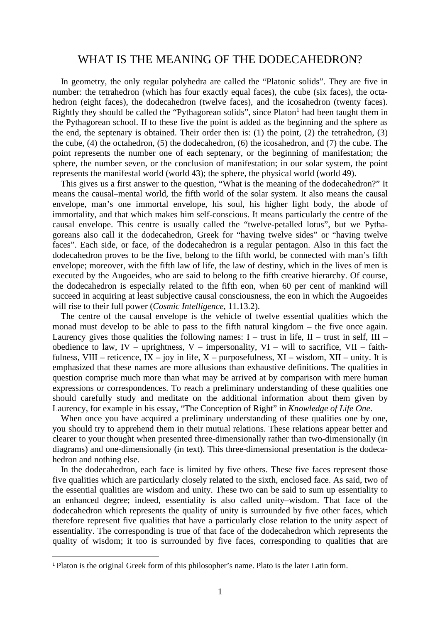## WHAT IS THE MEANING OF THE DODECAHEDRON?

In geometry, the only regular polyhedra are called the "Platonic solids". They are five in number: the tetrahedron (which has four exactly equal faces), the cube (six faces), the octahedron (eight faces), the dodecahedron (twelve faces), and the icosahedron (twenty faces). Rightly they should be called the "Pythagorean solids", since  $Platon<sup>1</sup>$  had been taught them in the Pythagorean school. If to these five the point is added as the beginning and the sphere as the end, the septenary is obtained. Their order then is: (1) the point, (2) the tetrahedron, (3) the cube, (4) the octahedron, (5) the dodecahedron, (6) the icosahedron, and (7) the cube. The point represents the number one of each septenary, or the beginning of manifestation; the sphere, the number seven, or the conclusion of manifestation; in our solar system, the point represents the manifestal world (world 43); the sphere, the physical world (world 49).

This gives us a first answer to the question, "What is the meaning of the dodecahedron?" It means the causal–mental world, the fifth world of the solar system. It also means the causal envelope, man's one immortal envelope, his soul, his higher light body, the abode of immortality, and that which makes him self-conscious. It means particularly the centre of the causal envelope. This centre is usually called the "twelve-petalled lotus", but we Pythagoreans also call it the dodecahedron, Greek for "having twelve sides" or "having twelve faces". Each side, or face, of the dodecahedron is a regular pentagon. Also in this fact the dodecahedron proves to be the five, belong to the fifth world, be connected with man's fifth envelope; moreover, with the fifth law of life, the law of destiny, which in the lives of men is executed by the Augoeides, who are said to belong to the fifth creative hierarchy. Of course, the dodecahedron is especially related to the fifth eon, when 60 per cent of mankind will succeed in acquiring at least subjective causal consciousness, the eon in which the Augoeides will rise to their full power (*Cosmic Intelligence*, 11.13.2).

The centre of the causal envelope is the vehicle of twelve essential qualities which the monad must develop to be able to pass to the fifth natural kingdom – the five once again. Laurency gives those qualities the following names:  $I -$  trust in life,  $II -$  trust in self,  $III$ obedience to law, IV – uprightness, V – impersonality, VI – will to sacrifice, VII – faithfulness, VIII – reticence,  $\overline{IX}$  – joy in life,  $X$  – purposefulness,  $XI$  – wisdom,  $XII$  – unity. It is emphasized that these names are more allusions than exhaustive definitions. The qualities in question comprise much more than what may be arrived at by comparison with mere human expressions or correspondences. To reach a preliminary understanding of these qualities one should carefully study and meditate on the additional information about them given by Laurency, for example in his essay, "The Conception of Right" in *Knowledge of Life One*.

When once you have acquired a preliminary understanding of these qualities one by one, you should try to apprehend them in their mutual relations. These relations appear better and clearer to your thought when presented three-dimensionally rather than two-dimensionally (in diagrams) and one-dimensionally (in text). This three-dimensional presentation is the dodecahedron and nothing else.

In the dodecahedron, each face is limited by five others. These five faces represent those five qualities which are particularly closely related to the sixth, enclosed face. As said, two of the essential qualities are wisdom and unity. These two can be said to sum up essentiality to an enhanced degree; indeed, essentiality is also called unity–wisdom. That face of the dodecahedron which represents the quality of unity is surrounded by five other faces, which therefore represent five qualities that have a particularly close relation to the unity aspect of essentiality. The corresponding is true of that face of the dodecahedron which represents the quality of wisdom; it too is surrounded by five faces, corresponding to qualities that are

<sup>&</sup>lt;sup>1</sup> Platon is the original Greek form of this philosopher's name. Plato is the later Latin form.